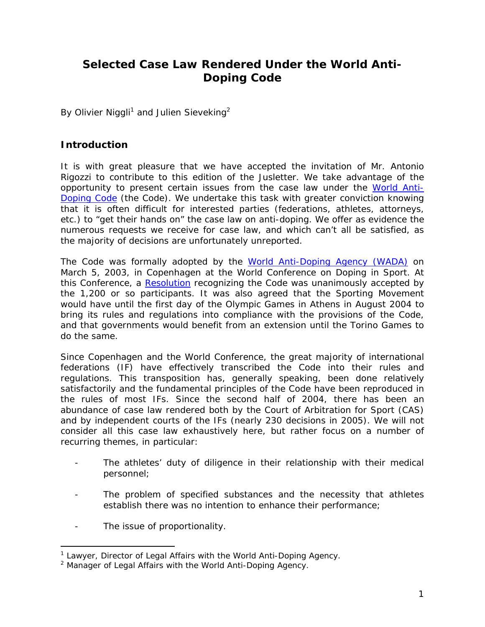# **Selected Case Law Rendered Under the World Anti-Doping Code**

By Olivier Niggli<sup>1</sup> and Julien Sieveking<sup>2</sup>

### **Introduction**

It is with great pleasure that we have accepted the invitation of Mr. Antonio Rigozzi to contribute to this edition of the *Jusletter*. We take advantage of the opportunity to present certain issues from the case law under the World Anti-Doping Code (the Code). We undertake this task with greater conviction knowing that it is often difficult for interested parties (federations, athletes, attorneys, etc.) to "get their hands on" the case law on anti-doping. We offer as evidence the numerous requests we receive for case law, and which can't all be satisfied, as the majority of decisions are unfortunately unreported.

The Code was formally adopted by the World Anti-Doping Agency (WADA) on March 5, 2003, in Copenhagen at the World Conference on Doping in Sport. At this Conference, a Resolution recognizing the Code was unanimously accepted by the 1,200 or so participants. It was also agreed that the Sporting Movement would have until the first day of the Olympic Games in Athens in August 2004 to bring its rules and regulations into compliance with the provisions of the Code, and that governments would benefit from an extension until the Torino Games to do the same.

Since Copenhagen and the World Conference, the great majority of international federations (IF) have effectively transcribed the Code into their rules and regulations. This transposition has, generally speaking, been done relatively satisfactorily and the fundamental principles of the Code have been reproduced in the rules of most IFs. Since the second half of 2004, there has been an abundance of case law rendered both by the Court of Arbitration for Sport (CAS) and by independent courts of the IFs (nearly 230 decisions in 2005). We will not consider all this case law exhaustively here, but rather focus on a number of recurring themes, in particular:

- The athletes' duty of diligence in their relationship with their medical personnel;
- The problem of specified substances and the necessity that athletes establish there was no intention to enhance their performance;
- The issue of proportionality.

<sup>&</sup>lt;sup>1</sup> Lawyer, Director of Legal Affairs with the World Anti-Doping Agency.

<sup>&</sup>lt;sup>2</sup> Manager of Legal Affairs with the World Anti-Doping Agency.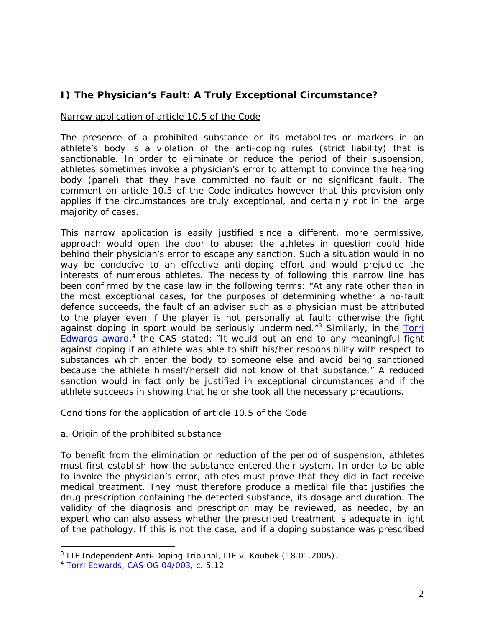# **I) The Physician's Fault: A Truly Exceptional Circumstance?**

#### Narrow application of article 10.5 of the Code

The presence of a prohibited substance or its metabolites or markers in an athlete's body is a violation of the anti-doping rules (*strict liability*) that is sanctionable. In order to eliminate or reduce the period of their suspension, athletes sometimes invoke a physician's error to attempt to convince the hearing body (panel) that they have committed no fault or no significant fault. The comment on article 10.5 of the Code indicates however that this provision only applies if the circumstances are truly exceptional, and certainly not in the large majority of cases.

This narrow application is easily justified since a different, more permissive, approach would open the door to abuse: the athletes in question could hide behind their physician's error to escape any sanction. Such a situation would in no way be conducive to an effective anti-doping effort and would prejudice the interests of numerous athletes. The necessity of following this narrow line has been confirmed by the case law in the following terms: "*At any rate other than in the most exceptional cases, for the purposes of determining whether a no-fault defence succeeds, the fault of an adviser such as a physician must be attributed to the player even if the player is not personally at fault: otherwise the fight against doping in sport would be seriously undermined.*"3 Similarly, in the *Torri Edwards* award, 4 the CAS stated: "*It would put an end to any meaningful fight against doping if an athlete was able to shift his/her responsibility with respect to substances which enter the body to someone else and avoid being sanctioned because the athlete himself/herself did not know of that substance."* A reduced sanction would in fact only be justified in exceptional circumstances and if the athlete succeeds in showing that he or she took all the necessary precautions.

#### Conditions for the application of article 10.5 of the Code

#### *a. Origin of the prohibited substance*

To benefit from the elimination or reduction of the period of suspension, athletes must first establish how the substance entered their system. In order to be able to invoke the physician's error, athletes must prove that they did in fact receive medical treatment. They must therefore produce a medical file that justifies the drug prescription containing the detected substance, its dosage and duration. The validity of the diagnosis and prescription may be reviewed, as needed, by an expert who can also assess whether the prescribed treatment is adequate in light of the pathology. If this is not the case, and if a doping substance was prescribed

<sup>3</sup> ITF Independent Anti-Doping Tribunal, *ITF v. Koubek* (18.01.2005).

<sup>4</sup> Torri Edwards, CAS OG 04/003, c. 5.12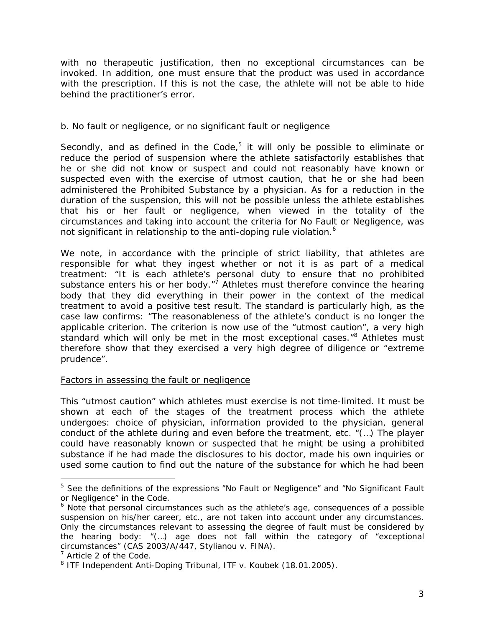with no therapeutic justification, then no exceptional circumstances can be invoked. In addition, one must ensure that the product was used in accordance with the prescription. If this is not the case, the athlete will not be able to hide behind the practitioner's error.

#### *b. No fault or negligence, or no significant fault or negligence*

Secondly, and as defined in the Code, $5$  it will only be possible to eliminate or reduce the period of suspension where the athlete satisfactorily establishes *that he or she did not know or suspect and could not reasonably have known or suspected even with the exercise of utmost caution, that he or she had been administered the Prohibited Substance* by a physician. As for a reduction in the duration of the suspension, this will not be possible unless the athlete *establishes that his or her fault or negligence, when viewed in the totality of the circumstances and taking into account the criteria for No Fault or Negligence, was not significant in relationship to the anti-doping rule violation.<sup>6</sup>*

We note, in accordance with the principle of strict liability, that athletes are responsible for what they ingest whether or not it is as part of a medical treatment: "*It is each athlete's personal duty to ensure that no prohibited*  substance enters his or her body.<sup>"</sup> Athletes must therefore convince the hearing body that they did everything in their power in the context of the medical treatment to avoid a positive test result. The standard is particularly high, as the case law confirms: "*The reasonableness of the athlete's conduct is no longer the applicable criterion. The criterion is now use of the "utmost caution", a very high*  standard which will only be met in the most exceptional cases.<sup>"8</sup> Athletes must therefore show that they exercised a very high degree of diligence or "extreme prudence".

#### Factors in assessing the fault or negligence

This "*utmost caution*" which athletes must exercise is not time-limited. It must be shown at each of the stages of the treatment process which the athlete undergoes: choice of physician, information provided to the physician, general conduct of the athlete during and even before the treatment, etc. "*(…) The player could have reasonably known or suspected that he might be using a prohibited substance if he had made the disclosures to his doctor, made his own inquiries or used some caution to find out the nature of the substance for which he had been* 

<sup>5</sup> See the definitions of the expressions "*No Fault or Negligence*" and "*No Significant Fault or Negligence*" in the Code.

<sup>&</sup>lt;sup>6</sup> Note that personal circumstances such as the athlete's age, consequences of a possible suspension on his/her career, etc., are not taken into account under any circumstances. Only the circumstances relevant to assessing the degree of fault must be considered by the hearing body: "(*…) age does not fall within the category of "exceptional circumstances"* (CAS 2003/A/447, *Stylianou v. FINA*).

<sup>&</sup>lt;sup>7</sup> Article 2 of the Code.

<sup>8</sup> ITF Independent Anti-Doping Tribunal, *ITF v. Koubek* (18.01.2005).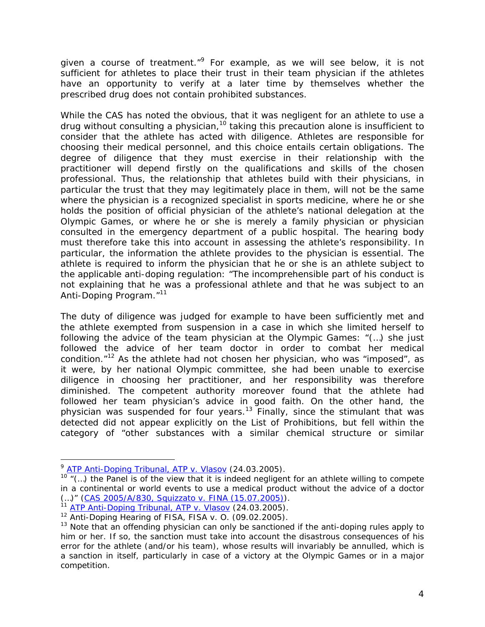*given a course of treatment.*"9 For example, as we will see below, it is not sufficient for athletes to place their trust in their team physician if the athletes have an opportunity to verify at a later time by themselves whether the prescribed drug does not contain prohibited substances.

While the CAS has noted the obvious, that it was negligent for an athlete to use a drug without consulting a physician,<sup>10</sup> taking this precaution alone is insufficient to consider that the athlete has acted with diligence. Athletes are responsible for choosing their medical personnel, and this choice entails certain obligations. The degree of diligence that they must exercise in their relationship with the practitioner will depend firstly on the qualifications and skills of the chosen professional. Thus, the relationship that athletes build with their physicians, in particular the trust that they may legitimately place in them, will not be the same where the physician is a recognized specialist in sports medicine, where he or she holds the position of official physician of the athlete's national delegation at the Olympic Games, or where he or she is merely a family physician or physician consulted in the emergency department of a public hospital. The hearing body must therefore take this into account in assessing the athlete's responsibility. In particular, the information the athlete provides to the physician is essential. The athlete is required to inform the physician that he or she is an athlete subject to the applicable anti-doping regulation: "*The incomprehensible part of his conduct is not explaining that he was a professional athlete and that he was subject to an Anti-Doping Program."*<sup>11</sup>

The duty of diligence was judged for example to have been sufficiently met and the athlete exempted from suspension in a case in which she limited herself to following the advice of the team physician at the Olympic Games: "*(…) she just followed the advice of her team doctor in order to combat her medical condition."*12 As the athlete had not chosen her physician, who was "imposed", as it were, by her national Olympic committee, she had been unable to exercise diligence in choosing her practitioner, and her responsibility was therefore diminished. The competent authority moreover found that the athlete had followed her team physician's advice in good faith. On the other hand, the physician was suspended for four years.<sup>13</sup> Finally, since the stimulant that was detected did not appear explicitly on the List of Prohibitions, but fell within the category of "*other substances with a similar chemical structure or similar* 

-

<sup>9</sup> ATP Anti-Doping Tribunal, *ATP v. Vlasov* (24.03.2005).

<sup>10</sup> *"(…) the Panel is of the view that it is indeed negligent for an athlete willing to compete in a continental or world events to use a medical product without the advice of a doctor (…)"* (CAS 2005/A/830, *Squizzato v. FINA* (15.07.2005)).

<sup>&</sup>lt;sup>1</sup> ATP Anti-Doping Tribunal, *ATP v. Vlasov* (24.03.2005).

<sup>12</sup> Anti-Doping Hearing of FISA, *FISA v. O.* (09.02.2005).

 $13$  Note that an offending physician can only be sanctioned if the anti-doping rules apply to him or her. If so, the sanction must take into account the disastrous consequences of his error for the athlete (and/or his team), whose results will invariably be annulled, which is a sanction in itself, particularly in case of a victory at the Olympic Games or in a major competition.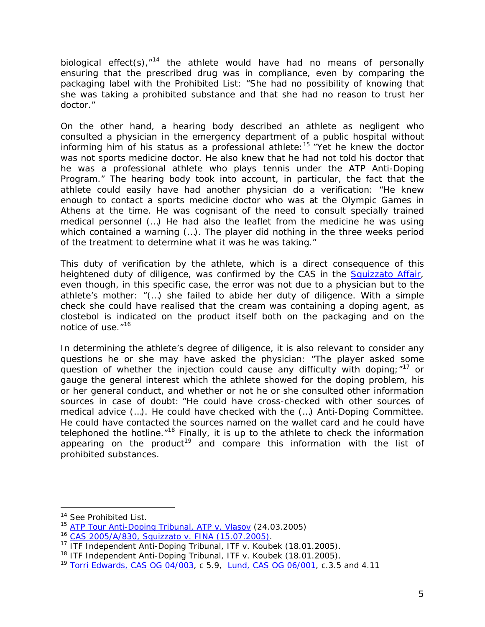*biological effect(s)*,*"<sup>14</sup>* the athlete would have had no means of personally ensuring that the prescribed drug was in compliance, even by comparing the packaging label with the Prohibited List: "*She had no possibility of knowing that she was taking a prohibited substance and that she had no reason to trust her doctor.*"

On the other hand, a hearing body described an athlete as negligent who consulted a physician in the emergency department of a public hospital without informing him of his status as a professional athlete:15 "*Yet he knew the doctor*  was not sports medicine doctor. He also knew that he had not told his doctor that *he was a professional athlete who plays tennis under the ATP Anti-Doping Program."* The hearing body took into account, in particular, the fact that the athlete could easily have had another physician do a verification: "*He knew enough to contact a sports medicine doctor who was at the Olympic Games in Athens at the time. He was cognisant of the need to consult specially trained medical personnel (…) He had also the leaflet from the medicine he was using which contained a warning (…). The player did nothing in the three weeks period of the treatment to determine what it was he was taking.*"

This duty of verification by the athlete, which is a direct consequence of this heightened duty of diligence, was confirmed by the CAS in the *Squizzato Affair*, even though, in this specific case, the error was not due to a physician but to the athlete's mother: *"(…) she failed to abide her duty of diligence. With a simple check she could have realised that the cream was containing a doping agent, as clostebol is indicated on the product itself both on the packaging and on the notice of use."*16

In determining the athlete's degree of diligence, it is also relevant to consider any questions he or she may have asked the physician: "*The player asked some question of whether the injection could cause any difficulty with doping*;"*<sup>17</sup>* or gauge the general interest which the athlete showed for the doping problem, his or her general conduct, and whether or not he or she consulted other information sources in case of doubt: "*He could have cross-checked with other sources of medical advice (…). He could have checked with the (…) Anti-Doping Committee. He could have contacted the sources named on the wallet card and he could have telephoned the hotline*."18 Finally, it is up to the athlete to check the information appearing on the product<sup>19</sup> and compare this information with the list of prohibited substances.

-

<sup>&</sup>lt;sup>14</sup> See Prohibited List.

<sup>15</sup> ATP Tour Anti-Doping Tribunal, *ATP v. Vlasov* (24.03.2005)

<sup>16</sup> CAS 2005/A/830, *Squizzato v. FINA* (15.07.2005). 17 ITF Independent Anti-Doping Tribunal, *ITF v. Koubek* (18.01.2005).

<sup>18</sup> ITF Independent Anti-Doping Tribunal, *ITF v. Koubek* (18.01.2005).

<sup>&</sup>lt;sup>19</sup> Torri Edwards, CAS OG 04/003, c 5.9, Lund, CAS OG 06/001, c.3.5 and 4.11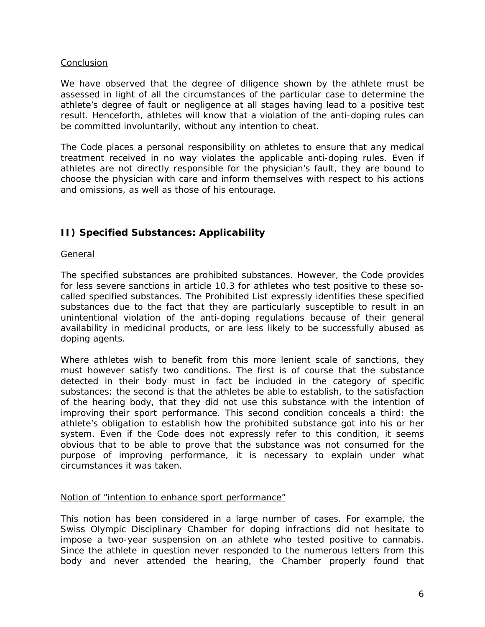#### Conclusion

We have observed that the degree of diligence shown by the athlete must be assessed in light of all the circumstances of the particular case to determine the athlete's degree of fault or negligence at all stages having lead to a positive test result. Henceforth, athletes will know that a violation of the anti-doping rules can be committed involuntarily, without any intention to cheat.

The Code places a personal responsibility on athletes to ensure that any medical treatment received in no way violates the applicable anti-doping rules. Even if athletes are not directly responsible for the physician's fault, they are bound to choose the physician with care and inform themselves with respect to his actions and omissions, as well as those of his entourage.

# **II) Specified Substances: Applicability**

#### General

The specified substances are prohibited substances. However, the Code provides for less severe sanctions in article 10.3 for athletes who test positive to these socalled specified substances. The Prohibited List expressly identifies these specified substances due to the fact that they are particularly susceptible to result in an unintentional violation of the anti-doping regulations because of their general availability in medicinal products, or are less likely to be successfully abused as doping agents.

Where athletes wish to benefit from this more lenient scale of sanctions, they must however satisfy two conditions. The first is of course that the substance detected in their body must in fact be included in the category of specific substances; the second is that the athletes be able to establish, to the satisfaction of the hearing body, that they did not use this substance with the intention of improving their sport performance. This second condition conceals a third: the athlete's obligation to establish how the prohibited substance got into his or her system. Even if the Code does not expressly refer to this condition, it seems obvious that to be able to prove that the substance was not consumed for the purpose of improving performance, it is necessary to explain under what circumstances it was taken.

#### Notion of "intention to enhance sport performance"

This notion has been considered in a large number of cases. For example, the Swiss Olympic Disciplinary Chamber for doping infractions did not hesitate to impose a two-year suspension on an athlete who tested positive to cannabis. Since the athlete in question never responded to the numerous letters from this body and never attended the hearing, the Chamber properly found that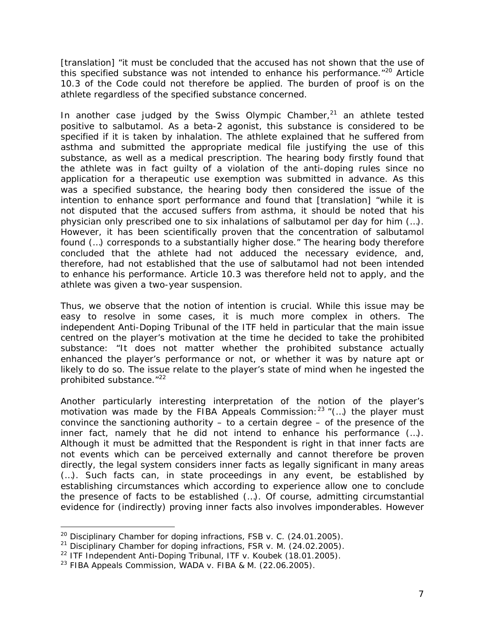[translation] "*it must be concluded that the accused has not shown that the use of this specified substance was not intended to enhance his performance.*"20 Article 10.3 of the Code could not therefore be applied. The burden of proof is on the athlete regardless of the specified substance concerned.

In another case judged by the Swiss Olympic Chamber, $21$  an athlete tested positive to salbutamol. As a beta-2 agonist, this substance is considered to be specified if it is taken by inhalation. The athlete explained that he suffered from asthma and submitted the appropriate medical file justifying the use of this substance, as well as a medical prescription. The hearing body firstly found that the athlete was in fact guilty of a violation of the anti-doping rules since no application for a therapeutic use exemption was submitted in advance. As this was a specified substance, the hearing body then considered the issue of the intention to enhance sport performance and found that [translation] "*while it is not disputed that the accused suffers from asthma, it should be noted that his physician only prescribed one to six inhalations of salbutamol per day for him (…). However, it has been scientifically proven that the concentration of salbutamol found (…) corresponds to a substantially higher dose."* The hearing body therefore concluded that the athlete had not adduced the necessary evidence, and, therefore, had not established that the use of salbutamol had not been intended to enhance his performance. Article 10.3 was therefore held not to apply, and the athlete was given a two-year suspension.

Thus, we observe that the notion of intention is crucial. While this issue may be easy to resolve in some cases, it is much more complex in others. The independent Anti-Doping Tribunal of the ITF held in particular that the main issue centred on the player's motivation at the time he decided to take the prohibited substance: "*It does not matter whether the prohibited substance actually*  enhanced the player's performance or not, or whether it was by nature apt or likely to do so. The issue relate to the player's state of mind when he ingested the *prohibited substance.*"22

Another particularly interesting interpretation of the notion of the player's motivation was made by the FIBA Appeals Commission:<sup>23</sup> "(...) the player must *convince the sanctioning authority – to a certain degree – of the presence of the inner fact, namely that he did not intend to enhance his performance (…). Although it must be admitted that the Respondent is right in that inner facts are*  not events which can be perceived externally and cannot therefore be proven *directly, the legal system considers inner facts as legally significant in many areas (…). Such facts can, in state proceedings in any event, be established by establishing circumstances which according to experience allow one to conclude the presence of facts to be established (…). Of course, admitting circumstantial evidence for (indirectly) proving inner facts also involves imponderables. However* 

<sup>20</sup> Disciplinary Chamber for doping infractions, *FSB v. C.* (24.01.2005).

<sup>21</sup> Disciplinary Chamber for doping infractions, *FSR v. M.* (24.02.2005).

<sup>22</sup> ITF Independent Anti-Doping Tribunal, *ITF v. Koubek* (18.01.2005).

<sup>23</sup> FIBA Appeals Commission, *WADA v. FIBA & M.* (22.06.2005).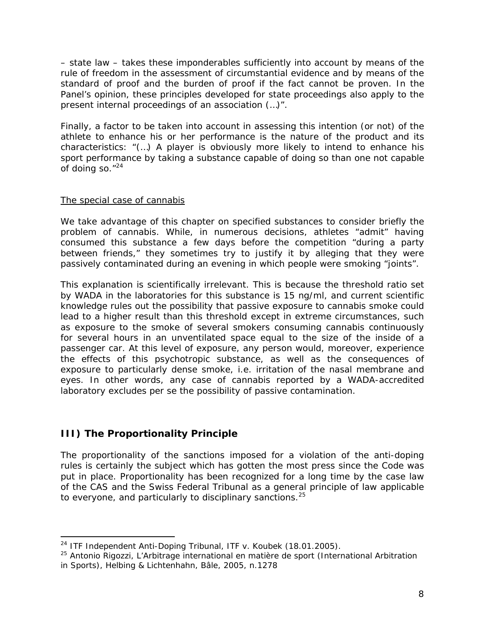*– state law – takes these imponderables sufficiently into account by means of the rule of freedom in the assessment of circumstantial evidence and by means of the standard of proof and the burden of proof if the fact cannot be proven. In the*  Panel's opinion, these principles developed for state proceedings also apply to the *present internal proceedings of an association (…)*".

Finally, a factor to be taken into account in assessing this intention (or not) of the athlete to enhance his or her performance is the nature of the product and its characteristics: "(…) *A player is obviously more likely to intend to enhance his sport performance by taking a substance capable of doing so than one not capable of doing so."*24

#### The special case of cannabis

We take advantage of this chapter on specified substances to consider briefly the problem of cannabis. While, in numerous decisions, athletes "admit" having consumed this substance a few days before the competition "during a party between friends," they sometimes try to justify it by alleging that they were passively contaminated during an evening in which people were smoking "joints".

This explanation is scientifically irrelevant. This is because the threshold ratio set by WADA in the laboratories for this substance is 15 ng/ml, and current scientific knowledge rules out the possibility that passive exposure to cannabis smoke could lead to a higher result than this threshold except in extreme circumstances, such as exposure to the smoke of several smokers consuming cannabis continuously for several hours in an unventilated space equal to the size of the inside of a passenger car. At this level of exposure, any person would, moreover, experience the effects of this psychotropic substance, as well as the consequences of exposure to particularly dense smoke, i.e. irritation of the nasal membrane and eyes. In other words, any case of cannabis reported by a WADA-accredited laboratory excludes *per se* the possibility of passive contamination.

## **III) The Proportionality Principle**

j

The proportionality of the sanctions imposed for a violation of the anti-doping rules is certainly the subject which has gotten the most press since the Code was put in place. Proportionality has been recognized for a long time by the case law of the CAS and the Swiss Federal Tribunal as a general principle of law applicable to everyone, and particularly to disciplinary sanctions.<sup>25</sup>

<sup>24</sup> ITF Independent Anti-Doping Tribunal, *ITF v. Koubek* (18.01.2005).

<sup>25</sup> Antonio Rigozzi, *L'Arbitrage international en matière de sport* (International Arbitration in Sports), Helbing & Lichtenhahn, Bâle, 2005, n.1278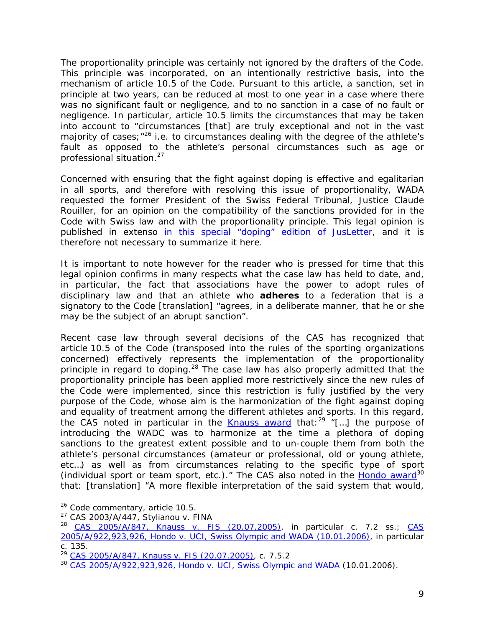The proportionality principle was certainly not ignored by the drafters of the Code. This principle was incorporated, on an intentionally restrictive basis, into the mechanism of article 10.5 of the Code. Pursuant to this article, a sanction, set in principle at two years, can be reduced at most to one year in a case where there was no significant fault or negligence, and to no sanction in a case of no fault or negligence. In particular, article 10.5 limits the circumstances that may be taken into account to "*circumstances* [that] *are truly exceptional and not in the vast majority of cases*;"26 i.e. to circumstances dealing with the degree of the athlete's fault as opposed to the athlete's personal circumstances such as age or professional situation.<sup>27</sup>

Concerned with ensuring that the fight against doping is effective and egalitarian in all sports, and therefore with resolving this issue of proportionality, WADA requested the former President of the Swiss Federal Tribunal, Justice Claude Rouiller, for an opinion on the compatibility of the sanctions provided for in the Code with Swiss law and with the proportionality principle. This legal opinion is published *in extenso* in this special "doping" edition of *JusLetter*, and it is therefore not necessary to summarize it here.

It is important to note however for the reader who is pressed for time that this legal opinion confirms in many respects what the case law has held to date, and, in particular, the fact that associations have the power to adopt rules of disciplinary law and that an athlete who **adheres** to a federation that is a signatory to the Code [translation] "*agrees, in a deliberate manner, that he or she may be the subject of an abrupt sanction".* 

Recent case law through several decisions of the CAS has recognized that article 10.5 of the Code (transposed into the rules of the sporting organizations concerned) effectively represents the implementation of the proportionality principle in regard to doping.<sup>28</sup> The case law has also properly admitted that the proportionality principle has been applied more restrictively since the new rules of the Code were implemented, since this restriction is fully justified by the very purpose of the Code, whose aim is the harmonization of the fight against doping and equality of treatment among the different athletes and sports. In this regard, the CAS noted in particular in the *Knauss* award that:29 "*[…] the purpose of introducing the WADC was to harmonize at the time a plethora of doping sanctions to the greatest extent possible and to un-couple them from both the athlete's personal circumstances (amateur or professional, old or young athlete,*  etc...) as well as from circumstances relating to the specific type of sport *(individual sport or team sport, etc.).* "The CAS also noted in the *Hondo* award<sup>30</sup> that: [translation] "*A more flexible interpretation of the said system that would,* 

j

<sup>&</sup>lt;sup>26</sup> Code commentary, article 10.5.

<sup>27</sup> CAS 2003/A/447, *Stylianou v. FINA*

<sup>28</sup> CAS 2005/A/847, *Knauss v. FIS* (20.07.2005), in particular c. 7.2 ss.; CAS 2005/A/922,923,926, *Hondo v. UCI, Swiss Olympic and WADA* (10.01.2006), in particular c. 135.

<sup>29</sup> CAS 2005/A/847, *Knauss v. FIS* (20.07.2005), c. 7.5.2

<sup>30</sup> CAS 2005/A/922,923,926, *Hondo v. UCI, Swiss Olympic and WADA* (10.01.2006).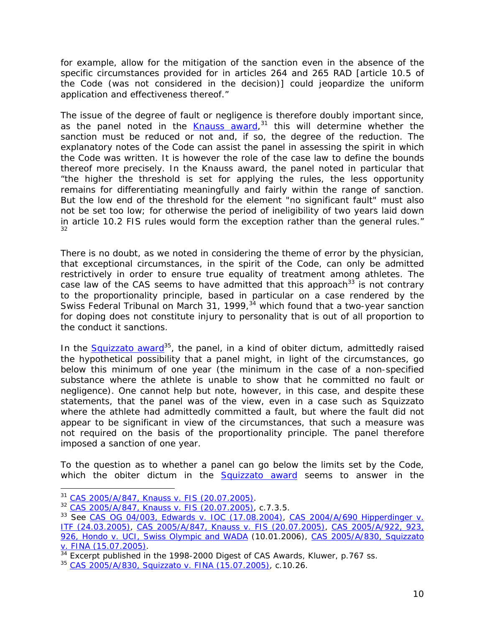for example, allow for the mitigation of the sanction even in the absence of the *specific circumstances provided for in articles 264 and 265 RAD* [article 10.5 of the Code (was not considered in the decision)] *could jeopardize the uniform application and effectiveness thereof."* 

The issue of the degree of fault or negligence is therefore doubly important since, as the panel noted in the *Knauss* award, 31 this will determine whether the sanction must be reduced or not and, if so, the degree of the reduction. The explanatory notes of the Code can assist the panel in assessing the spirit in which the Code was written. It is however the role of the case law to define the bounds thereof more precisely. In the *Knauss* award, the panel noted in particular that "*the higher the threshold is set for applying the rules, the less opportunity remains for differentiating meaningfully and fairly within the range of sanction. But the low end of the threshold for the element "no significant fault" must also not be set too low; for otherwise the period of ineligibility of two years laid down in article 10.2 FIS rules would form the exception rather than the general rules."* 32

There is no doubt, as we noted in considering the theme of error by the physician, that exceptional circumstances, in the spirit of the Code, can only be admitted restrictively in order to ensure true equality of treatment among athletes. The case law of the CAS seems to have admitted that this approach<sup>33</sup> is not contrary to the proportionality principle, based in particular on a case rendered by the Swiss Federal Tribunal on March 31, 1999,  $34$  which found that a two-year sanction for doping does not constitute injury to personality that is out of all proportion to the conduct it sanctions.

In the *Squizzato* award<sup>35</sup>, the panel, in a kind of *obiter dictum*, admittedly raised the hypothetical possibility that a panel might, in light of the circumstances, go below this minimum of one year (the minimum in the case of a non-specified substance where the athlete is unable to show that he committed no fault or negligence). One cannot help but note, however, in this case, and despite these statements, that the panel was of the view, even in a case such as *Squizzato* where the athlete had admittedly committed a fault, but where the fault did not appear to be significant in view of the circumstances, that such a measure was not required on the basis of the proportionality principle. The panel therefore imposed a sanction of one year.

To the question as to whether a panel can go below the limits set by the Code, which the *obiter dictum* in the Squizzato award seems to answer in the

<sup>&</sup>lt;sup>31</sup> CAS 2005/A/847, Knauss v. FIS (20.07.2005).

<sup>31</sup> CAS 2005/A/847, *Knauss v. FIS* (20.07.2005). 32 CAS 2005/A/847, *Knauss v. FIS* (20.07.2005), c.7.3.5.

<sup>33</sup> See CAS OG 04/003, *Edwards v. IOC* (17.08.2004), CAS 2004/A/690 *Hipperdinger v. ITF* (24.03.2005), CAS 2005/A/847, *Knauss v. FIS* (20.07.2005), CAS 2005/A/922, 923, 926, *Hondo v. UCI, Swiss Olympic and WADA* (10.01.2006), CAS 2005/A/830, *Squizzato* 

*v. FINA* (15.07.2005).<br><sup>34</sup> Excerpt published in the 1998-2000 Digest of CAS Awards, Kluwer, p.767 ss.

<sup>35</sup> CAS 2005/A/830, *Squizzato v. FINA* (15.07.2005), c.10.26.